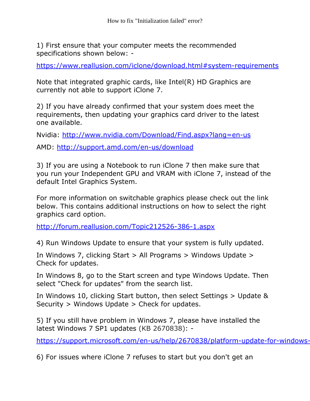1) First ensure that your computer meets the recommended specifications shown below: -

<https://www.reallusion.com/iclone/download.html#system-requirements>

Note that integrated graphic cards, like Intel(R) HD Graphics are currently not able to support iClone 7.

2) If you have already confirmed that your system does meet the requirements, then updating your graphics card driver to the latest one available.

Nvidia: <http://www.nvidia.com/Download/Find.aspx?lang=en-us>

AMD: <http://support.amd.com/en-us/download>

3) If you are using a Notebook to run iClone 7 then make sure that you run your Independent GPU and VRAM with iClone 7, instead of the default Intel Graphics System.

For more information on switchable graphics please check out the link below. This contains additional instructions on how to select the right graphics card option.

<http://forum.reallusion.com/Topic212526-386-1.aspx>

4) Run Windows Update to ensure that your system is fully updated.

In Windows 7, clicking Start > All Programs > Windows Update > Check for updates.

In Windows 8, go to the Start screen and type Windows Update. Then select "Check for updates" from the search list.

In Windows 10, clicking Start button, then select Settings > Update & Security > Windows Update > Check for updates.

5) If you still have problem in Windows 7, please have installed the latest Windows 7 SP1 updates (KB 2670838): -

https://support.microsoft.com/en-us/help/2670838/platform-update-for-windows-

6) For issues where iClone 7 refuses to start but you don't get an